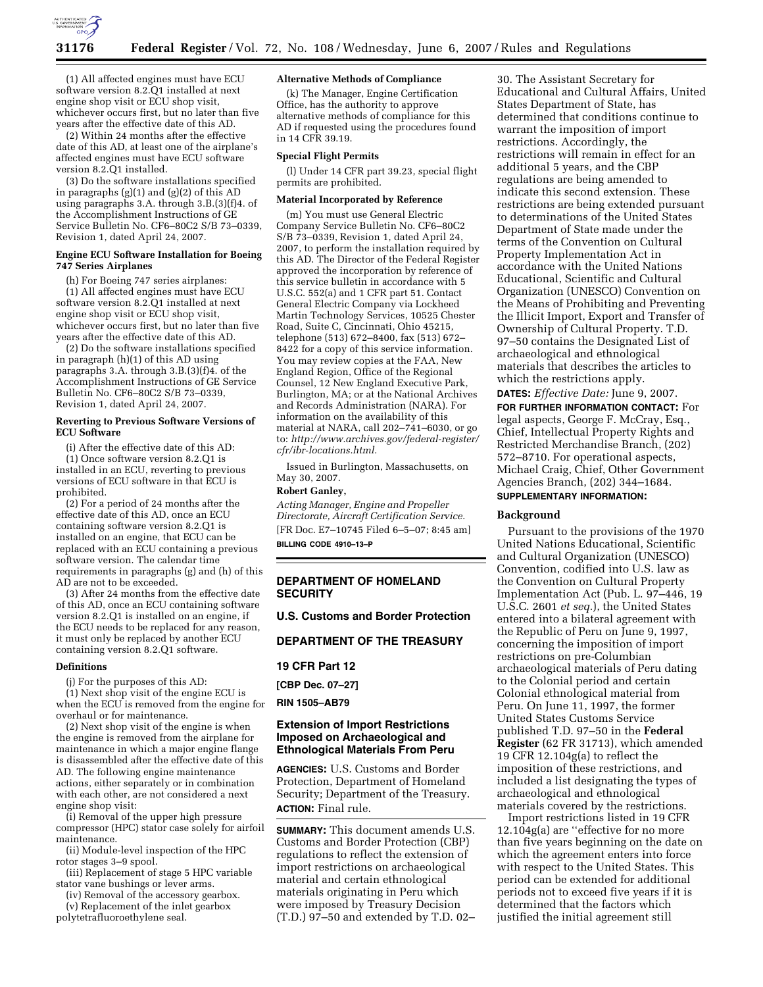

(1) All affected engines must have ECU software version 8.2.Q1 installed at next engine shop visit or ECU shop visit, whichever occurs first, but no later than five years after the effective date of this AD.

(2) Within 24 months after the effective date of this AD, at least one of the airplane's affected engines must have ECU software version 8.2.Q1 installed.

(3) Do the software installations specified in paragraphs (g)(1) and (g)(2) of this AD using paragraphs 3.A. through 3.B.(3)(f)4. of the Accomplishment Instructions of GE Service Bulletin No. CF6–80C2 S/B 73–0339, Revision 1, dated April 24, 2007.

#### **Engine ECU Software Installation for Boeing 747 Series Airplanes**

(h) For Boeing 747 series airplanes: (1) All affected engines must have ECU software version 8.2.Q1 installed at next engine shop visit or ECU shop visit, whichever occurs first, but no later than five years after the effective date of this AD.

(2) Do the software installations specified in paragraph (h)(1) of this AD using paragraphs 3.A. through 3.B.(3)(f)4. of the Accomplishment Instructions of GE Service Bulletin No. CF6–80C2 S/B 73–0339, Revision 1, dated April 24, 2007.

#### **Reverting to Previous Software Versions of ECU Software**

(i) After the effective date of this AD: (1) Once software version 8.2.Q1 is installed in an ECU, reverting to previous versions of ECU software in that ECU is prohibited.

(2) For a period of 24 months after the effective date of this AD, once an ECU containing software version 8.2.Q1 is installed on an engine, that ECU can be replaced with an ECU containing a previous software version. The calendar time requirements in paragraphs (g) and (h) of this AD are not to be exceeded.

(3) After 24 months from the effective date of this AD, once an ECU containing software version 8.2.Q1 is installed on an engine, if the ECU needs to be replaced for any reason, it must only be replaced by another ECU containing version 8.2.Q1 software.

#### **Definitions**

(j) For the purposes of this AD:

(1) Next shop visit of the engine ECU is when the ECU is removed from the engine for overhaul or for maintenance.

(2) Next shop visit of the engine is when the engine is removed from the airplane for maintenance in which a major engine flange is disassembled after the effective date of this AD. The following engine maintenance actions, either separately or in combination with each other, are not considered a next engine shop visit:

(i) Removal of the upper high pressure compressor (HPC) stator case solely for airfoil maintenance.

(ii) Module-level inspection of the HPC rotor stages 3–9 spool.

(iii) Replacement of stage 5 HPC variable stator vane bushings or lever arms.

(iv) Removal of the accessory gearbox.

(v) Replacement of the inlet gearbox polytetrafluoroethylene seal.

#### **Alternative Methods of Compliance**

(k) The Manager, Engine Certification Office, has the authority to approve alternative methods of compliance for this AD if requested using the procedures found in 14 CFR 39.19.

#### **Special Flight Permits**

(l) Under 14 CFR part 39.23, special flight permits are prohibited.

#### **Material Incorporated by Reference**

(m) You must use General Electric Company Service Bulletin No. CF6–80C2 S/B 73–0339, Revision 1, dated April 24, 2007, to perform the installation required by this AD. The Director of the Federal Register approved the incorporation by reference of this service bulletin in accordance with 5 U.S.C. 552(a) and 1 CFR part 51. Contact General Electric Company via Lockheed Martin Technology Services, 10525 Chester Road, Suite C, Cincinnati, Ohio 45215, telephone (513) 672–8400, fax (513) 672– 8422 for a copy of this service information. You may review copies at the FAA, New England Region, Office of the Regional Counsel, 12 New England Executive Park, Burlington, MA; or at the National Archives and Records Administration (NARA). For information on the availability of this material at NARA, call 202–741–6030, or go to: *http://www.archives.gov/federal-register/ cfr/ibr-locations.html.* 

Issued in Burlington, Massachusetts, on May 30, 2007.

# **Robert Ganley,**

*Acting Manager, Engine and Propeller Directorate, Aircraft Certification Service.*  [FR Doc. E7–10745 Filed 6–5–07; 8:45 am] **BILLING CODE 4910–13–P** 

## **DEPARTMENT OF HOMELAND SECURITY**

**U.S. Customs and Border Protection** 

## **DEPARTMENT OF THE TREASURY**

#### **19 CFR Part 12**

**[CBP Dec. 07–27]** 

**RIN 1505–AB79** 

## **Extension of Import Restrictions Imposed on Archaeological and Ethnological Materials From Peru**

**AGENCIES:** U.S. Customs and Border Protection, Department of Homeland Security; Department of the Treasury. **ACTION:** Final rule.

**SUMMARY:** This document amends U.S. Customs and Border Protection (CBP) regulations to reflect the extension of import restrictions on archaeological material and certain ethnological materials originating in Peru which were imposed by Treasury Decision (T.D.) 97–50 and extended by T.D. 02–

30. The Assistant Secretary for Educational and Cultural Affairs, United States Department of State, has determined that conditions continue to warrant the imposition of import restrictions. Accordingly, the restrictions will remain in effect for an additional 5 years, and the CBP regulations are being amended to indicate this second extension. These restrictions are being extended pursuant to determinations of the United States Department of State made under the terms of the Convention on Cultural Property Implementation Act in accordance with the United Nations Educational, Scientific and Cultural Organization (UNESCO) Convention on the Means of Prohibiting and Preventing the Illicit Import, Export and Transfer of Ownership of Cultural Property. T.D. 97–50 contains the Designated List of archaeological and ethnological materials that describes the articles to which the restrictions apply.

**DATES:** *Effective Date:* June 9, 2007. **FOR FURTHER INFORMATION CONTACT:** For legal aspects, George F. McCray, Esq., Chief, Intellectual Property Rights and Restricted Merchandise Branch, (202) 572–8710. For operational aspects, Michael Craig, Chief, Other Government Agencies Branch, (202) 344–1684. **SUPPLEMENTARY INFORMATION:** 

**Background** 

Pursuant to the provisions of the 1970 United Nations Educational, Scientific and Cultural Organization (UNESCO) Convention, codified into U.S. law as the Convention on Cultural Property Implementation Act (Pub. L. 97–446, 19 U.S.C. 2601 *et seq.*), the United States entered into a bilateral agreement with the Republic of Peru on June 9, 1997, concerning the imposition of import restrictions on pre-Columbian archaeological materials of Peru dating to the Colonial period and certain Colonial ethnological material from Peru. On June 11, 1997, the former United States Customs Service published T.D. 97–50 in the **Federal Register** (62 FR 31713), which amended 19 CFR 12.104g(a) to reflect the imposition of these restrictions, and included a list designating the types of archaeological and ethnological materials covered by the restrictions.

Import restrictions listed in 19 CFR 12.104g(a) are ''effective for no more than five years beginning on the date on which the agreement enters into force with respect to the United States. This period can be extended for additional periods not to exceed five years if it is determined that the factors which justified the initial agreement still